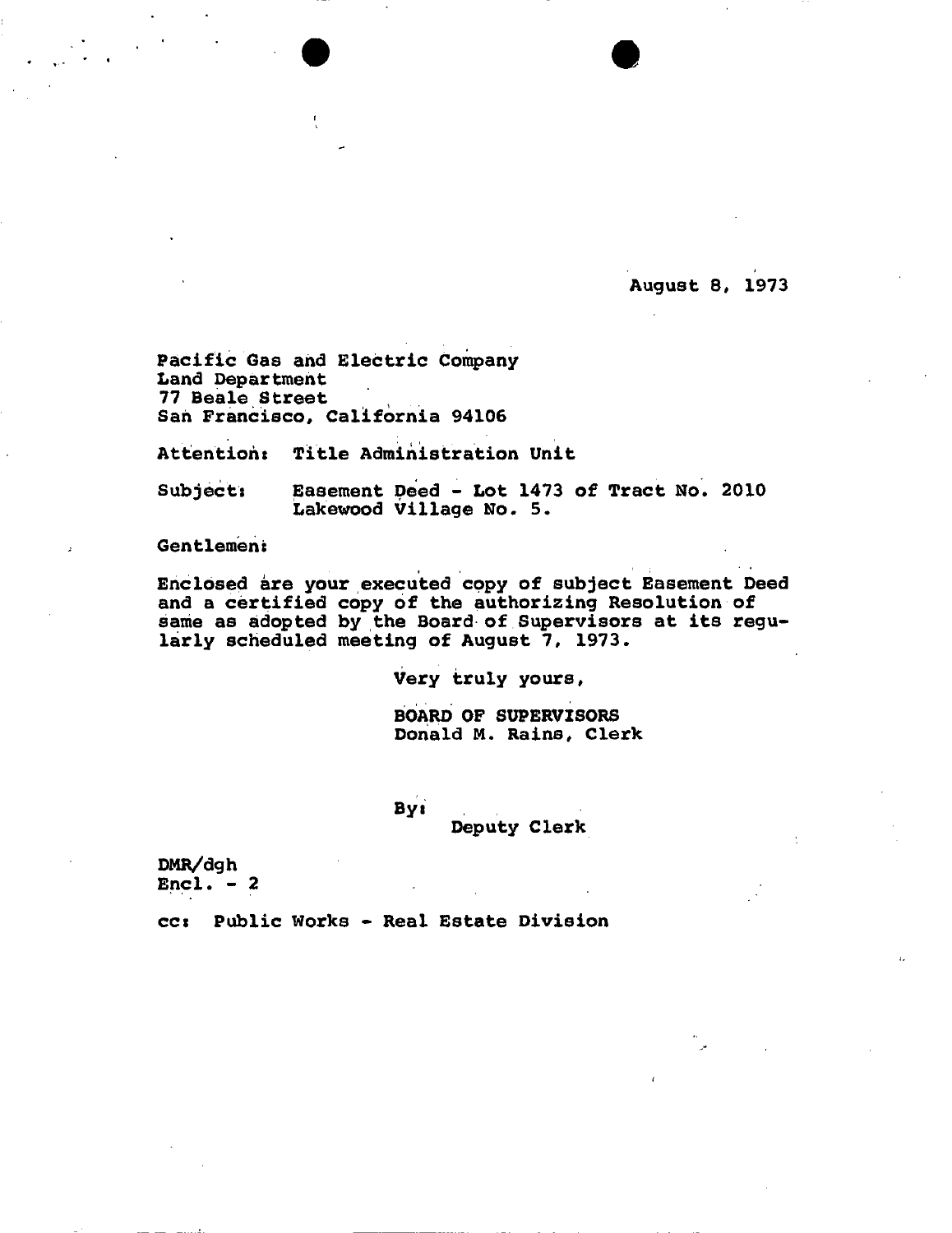August 8, 1973

*.»*

Pacific Gas and Electric Company Land Department 77 Beale Street . San Francisco, California 94106

Attention: Title Administration unit

Easement Deed - Lot 1473 of Tract No. 2010 Subject: Lakewood Village No. 5.

 $\bullet$   $\bullet$ 

## Gentlement

Enclosed are your executed copy of subject Easement Deed and a certified copy of the authorizing Resolution of same as adopted by the Board of Supervisors at its regularly scheduled meeting of August 7, 1973.

Very truly yours,

BOARD OF SUPERVISORS Donald M. Rains, Clerk

By.

## Deputy Clerk

DMR/dgh  $Encl. - 2$ 

CCI PUblic Works - Real Estate Division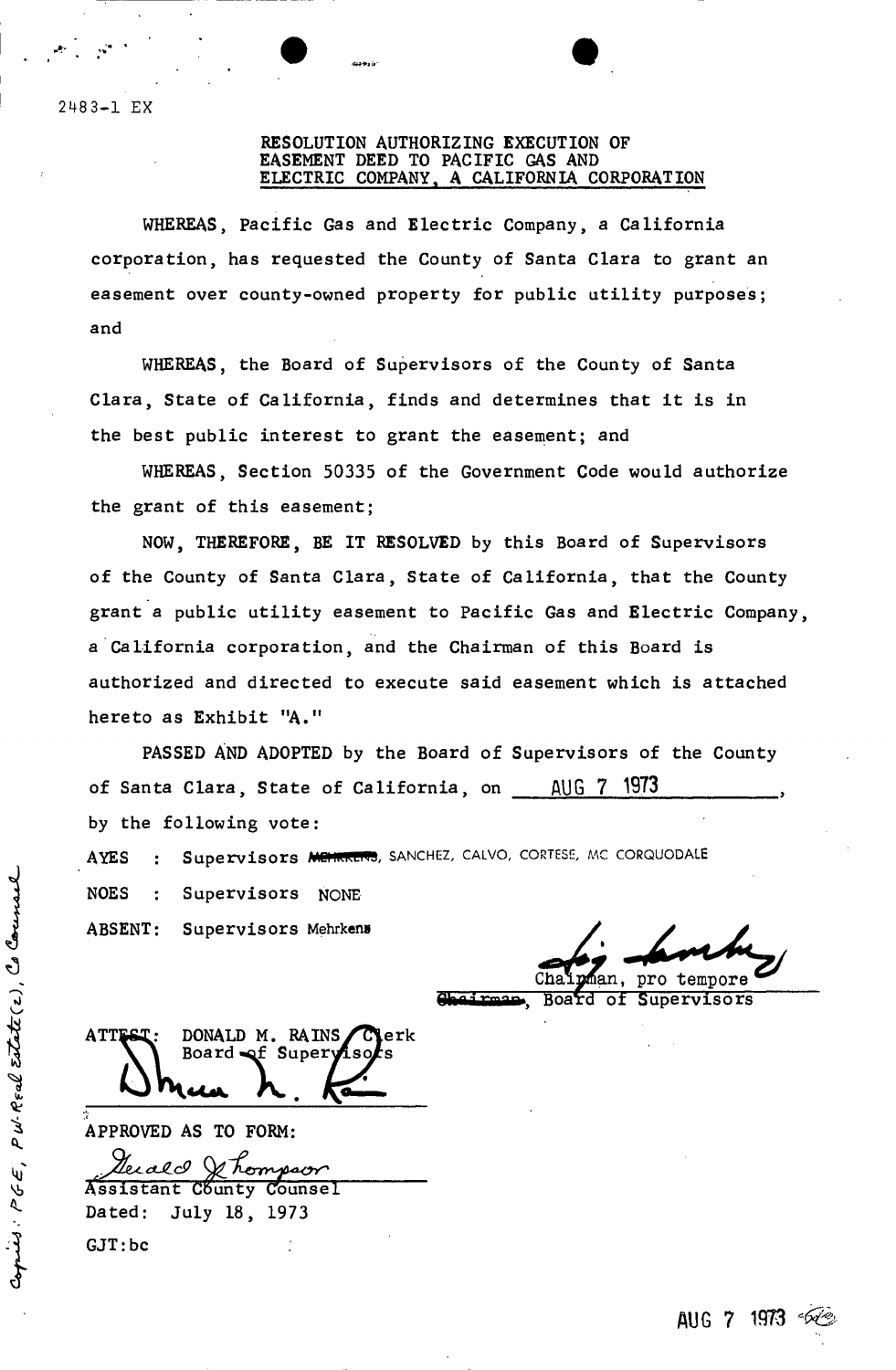2483-1 EX

## RESOLUTION AUTHORIZING EXECUTION OF EASEMENT DEED TO PACIFIC GAS AND ELECTRIC COMPANY. A CALIFORNIA CORPORATION

WHEREAS, Pacific Gas and Electric Company, a California corporation, has requested the County of Santa Clara to grant an easement over county-owned property for public utility purposes; and

WHEREAS, the Board of Supervisors of the County of Santa Clara, State of California, finds and determines that it is in the best public interest to grant the easement; and

WHEREAS, Section 50335 of the Government Code would authorize the grant of this easement;

NOW, THEREFORE, BE IT RESOLVED by this Board of Supervisors of the County of Santa Clara, State of California, that the County grant a public utility easement to Pacific Gas and Electric Company. a California corporation, and the Chairman of this Board is authorized and directed to execute said easement which is attached hereto as Exhibit "A."

PASSED AND ADOPTED by the Board of Supervisors of the County of Santa Clara, State of California, on 1973 AUG 7 by the following vote:

Supervisors MEHRRENS, SANCHEZ, CALVO, CORTESE, MC CORQUODALE **AYES** 

**NOES** Supervisors NONE

Supervisors Mehrkens ABSENT:

Chal man, pro tempore

*Chairman* **Board of Supervisors** 

DONALD M. RAINS,  ${\bf C}$ lerk A TTI Board of Supery

APPROVED AS TO FORM:

Decald V hompson **Assistant County Counsel** Dated: July 18, 1973

 $GJT:bc$ 

AUG 7 1973  $\frac{1}{2}$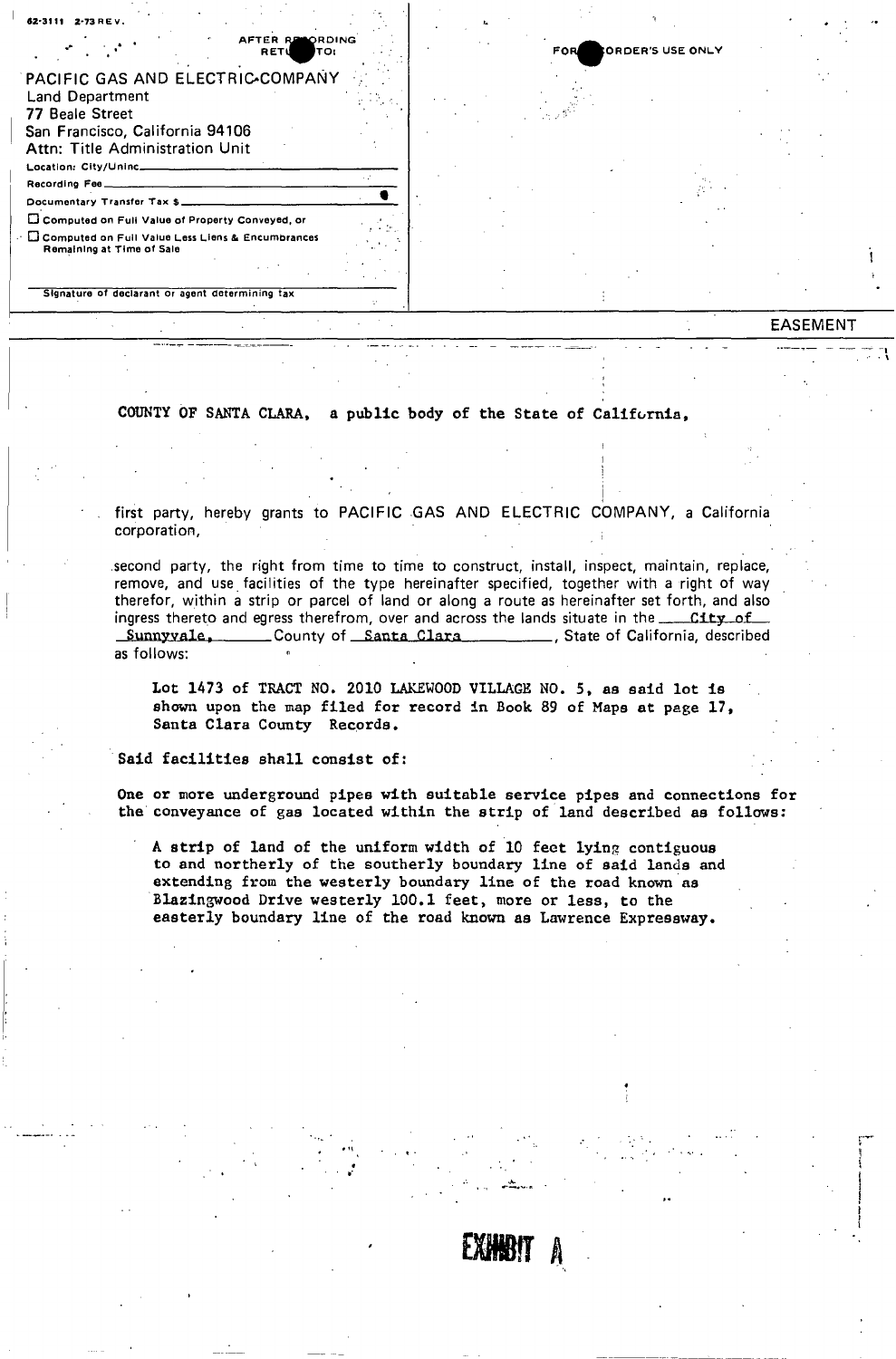| 62-3111 2-73 REV.                                                                                                                                   |  |     |                          |                 |
|-----------------------------------------------------------------------------------------------------------------------------------------------------|--|-----|--------------------------|-----------------|
| AFTER RESORDING<br>ITO:<br><b>RETU</b>                                                                                                              |  | FOR | <b>LORDER'S USE ONLY</b> |                 |
| PACIFIC GAS AND ELECTRIC COMPANY<br><b>Land Department</b><br>77 Beale Street<br>San Francisco, California 94106<br>Attn: Title Administration Unit |  |     |                          |                 |
| Location: City/Uninc_<br>the contract of the contract of the                                                                                        |  |     |                          |                 |
| Documentary Transfer Tax \$                                                                                                                         |  |     |                          |                 |
| Computed on Full Value of Property Conveyed, or                                                                                                     |  |     |                          |                 |
| $\triangle$ $\Box$ Computed on Full Value Less Liens & Encumbrances<br>Remaining at Time of Sale                                                    |  |     |                          |                 |
|                                                                                                                                                     |  |     |                          |                 |
| Signature of declarant or agent determining fax                                                                                                     |  |     |                          |                 |
|                                                                                                                                                     |  |     |                          | <b>EASEMENT</b> |

COUNTY OF SANTA CLARA, a public body of the State of Califvrnia,

first party, hereby grants to PACIFIC GAS AND ELECTRIC COMPANY, a California corporation,

-- -- -- - 1  $\cdot$  .  $\cdot$ 

> I"..•.•. ,

.second party, the right from time to time to construct, install, inspect, maintain, replace, remove, and use facilities of the type hereinafter specified, together with a right of way therefor, within a strip or parcel of land or along a route as hereinafter set forth, and also ingress thereto and egress therefrom, over and across the lands situate in the **-----City--of-**Sunnyvale, County of Santa Clara , State of California, described as follows:

Lot 1473 of TRACT NO. 2010 LAKEWOOD VILLAGE NO.5, as said lot is shown upon the map filed for record in Book 89 of Maps at page 17, Santa Clara County Records.

Said facilities shall consist of:

One or more underground pipes with suitable service pipes and connections for the conveyance of gas located within the strip of land described as follows:

**LXHBIT** 

A strip of land of the uniform width of 10 feet lying contiguous to and northerly of the southerly boundary line of said lands and extending from the westerly boundary line of the road known as Blazingwood Drive westerly 100.1 feet, more or less, to the easterly boundary line of the road known as Lawrence Expressway.

'"

 $\ddot{\cdot}$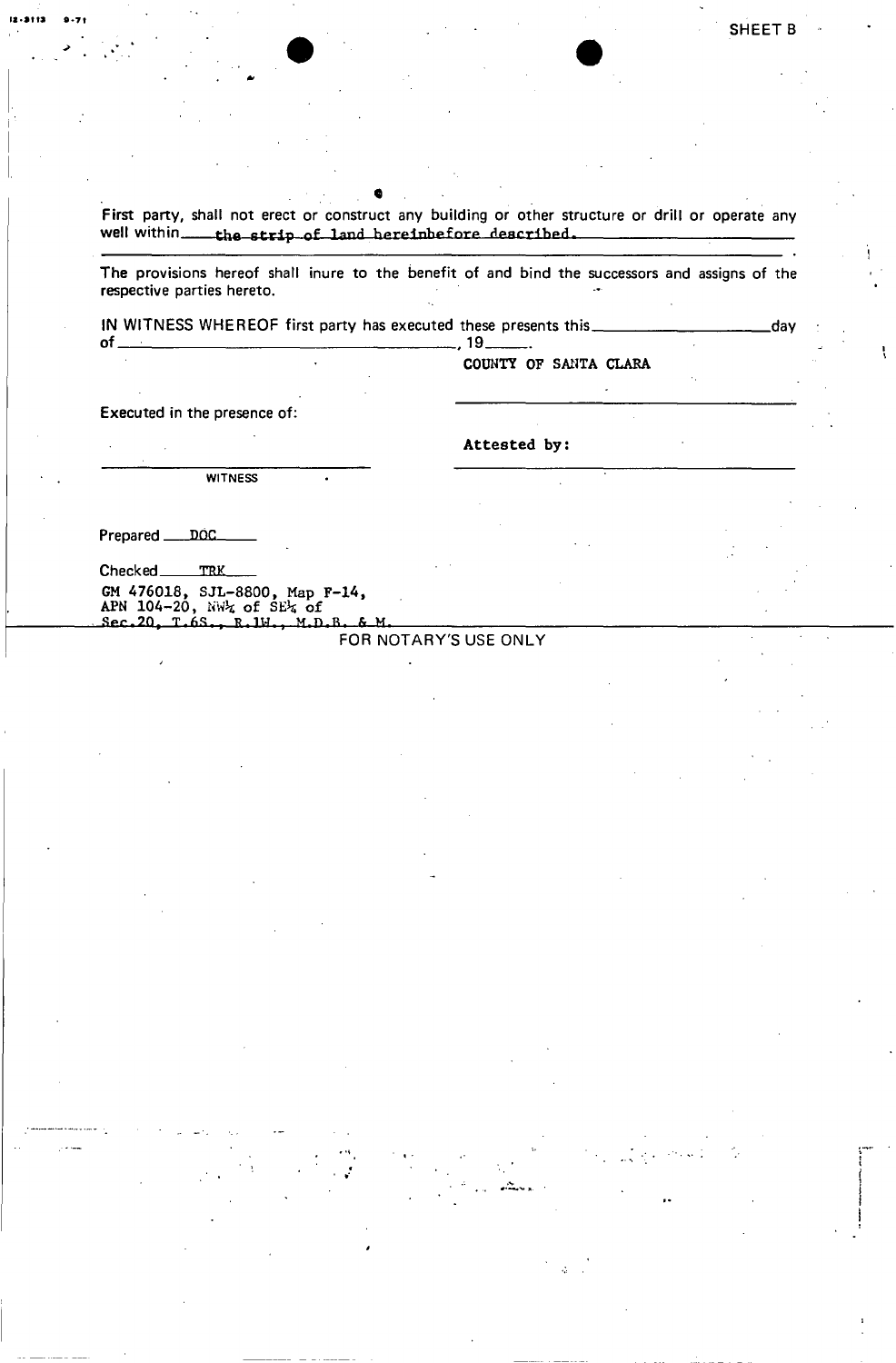• First party, shall not erect or construct any building or other structure or drill or operate any well within the strip of 1and hereinbefore described.

The provisions hereof shall inure to the benefit of and bind the successors and assigns of the respective parties hereto.

IN WITNESS WHEREOF first party has executed these presents this \_\_\_\_\_\_\_\_\_\_\_\_\_\_\_\_\_\_\_\_\_\_\_\_\_\_\_\_day of ,19 \_\_ .

> .., .<br>.<br>.  $^{\prime}$  ,  $\bullet$

.. • •

COUNTY OF SANTA CLARA

Executed in the presence of:

Attested by:

WITNESS

Prepared DOC

Checked TRK

GM 476018, SJL-8800, Map F-14, APN 104-20, NW4 of SE4 of  $\mathbf{M}$ 

# FOR NOTARY'S USE ONLY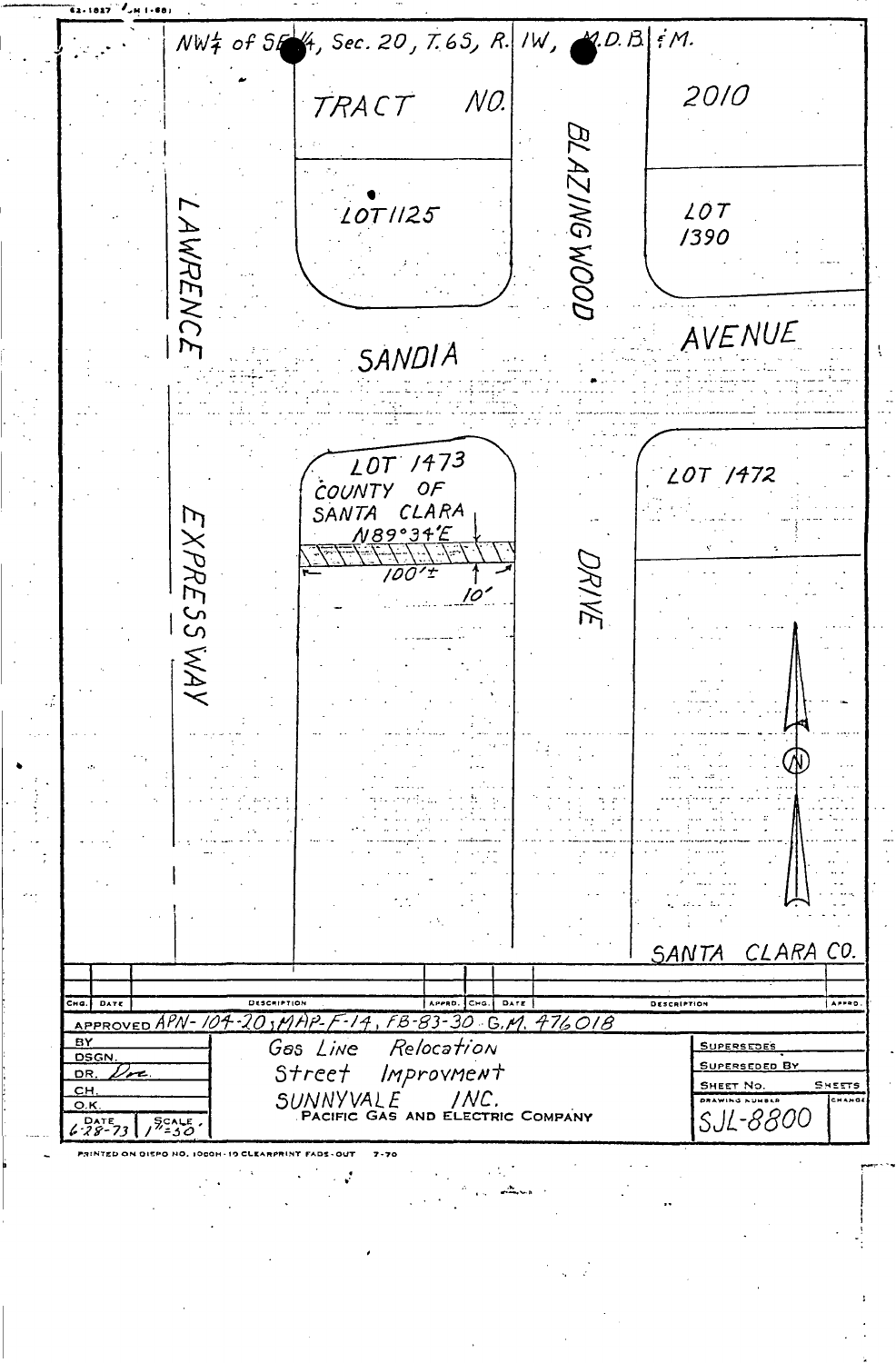$NW\frac{1}{4}$  of  $55\frac{1}{4}$ , Sec. 20, 7.65, R. IW,  $M.D.B|fM.$ 2010 NO. TRACT **BLAZING WOOD**  $20T$ **LOTII25** AWRENC /390 AVENUE SANDIA LOT 1473 LOT 7472 COUNTY  $OF$ CLARA SANTA N89°34'E XPRESSWAY **JAYKE** 100'E 10 SANTA CLARA CO. **DESCRIPTION**  $\overline{\mathsf{c}}$ ma. DAT **DESCRIPTION** APPROVED APN-104-20, MAP-F-14, FB-83-30 G.M. 476018  $\overline{\mathbf{B}}$ Relocation Gas Line **SUPERSEDES** DSGN SUPERSEDED BY Improvment Street DR. SHEET No. SHEETS  $C<sub>H</sub>$ INC. SUNNYVALE  $\overline{O.K}$ **SJL-8800 ELECTRIC COMPANY** c GAs  $6.28 - 73$  $5245$ **PRINTED ON DIEPO NO. 10**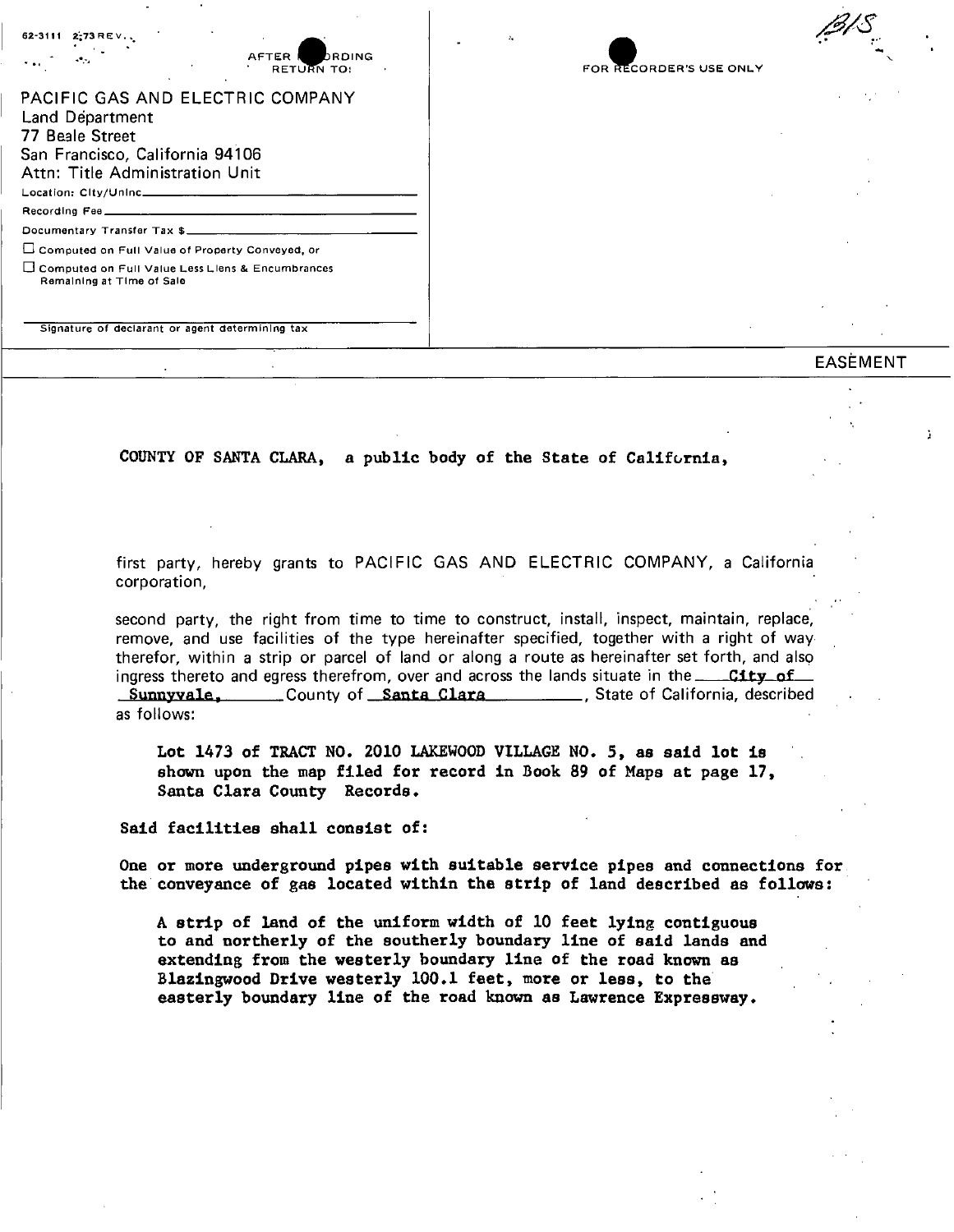| 62-3111<br>$2,73$ REV.<br><b>DRDING</b><br>AFTER I<br>RETURN TO:                                                                                                                        | $\mathcal{L}_\bullet$<br>FOR RECORDER'S USE ONLY |
|-----------------------------------------------------------------------------------------------------------------------------------------------------------------------------------------|--------------------------------------------------|
| PACIFIC GAS AND ELECTRIC COMPANY<br><b>Land Department</b><br>77 Beale Street<br>San Francisco, California 94106<br>Attn: Title Administration Unit<br>Location: Clty/Uninc____________ |                                                  |
| Recording Fee_<br>Documentary Transfer Tax \$_<br>Computed on Full Value of Property Conveyed, or<br>Computed on Full Value Less Liens & Encumbrances<br>Remaining at Time of Sale      |                                                  |
| Signature of declarant or agent determining tax                                                                                                                                         |                                                  |

#### EASEMENT

### COUNTY OF SANTA CLARA, a public body of the State of Califurnia,

first party, hereby grants to PACIFIC GAS AND ELECTRIC COMPANY, a California corporation,

second party, the right from time to time to construct, install, inspect, maintain, replace, remove, and use facilities of the type hereinafter specified, together with a right of way therefor, within a strip or parcel of land or along a route as hereinafter set forth, and also ingress thereto and egress therefrom, over and across the lands situate in the  $City of$ **Sunnyvale, County of Santa Clara** *County*, State of California, described as follows:

Lot 1473 of TRACT NO. 2010 LAKEWOOD VILLAGE NO. 5, as said lot is shown upon the map filed for record in Book 89 of Maps at page 17, Santa Clara County Records.

Said facilities shall consist of:

One or more underground pipes with suitable service pipes and connections for the conveyance of gas located within the strip of land described as follows:

A strip of land of the uniform width of 10 feet lying contiguous to and northerly of the southerly boundary line of said lands and extending from the westerly boundary line of the road known as Blazingwood Drive westerly 100.1 feet, more or less, to the easterly boundary line of the road known as Lawrence Expressway.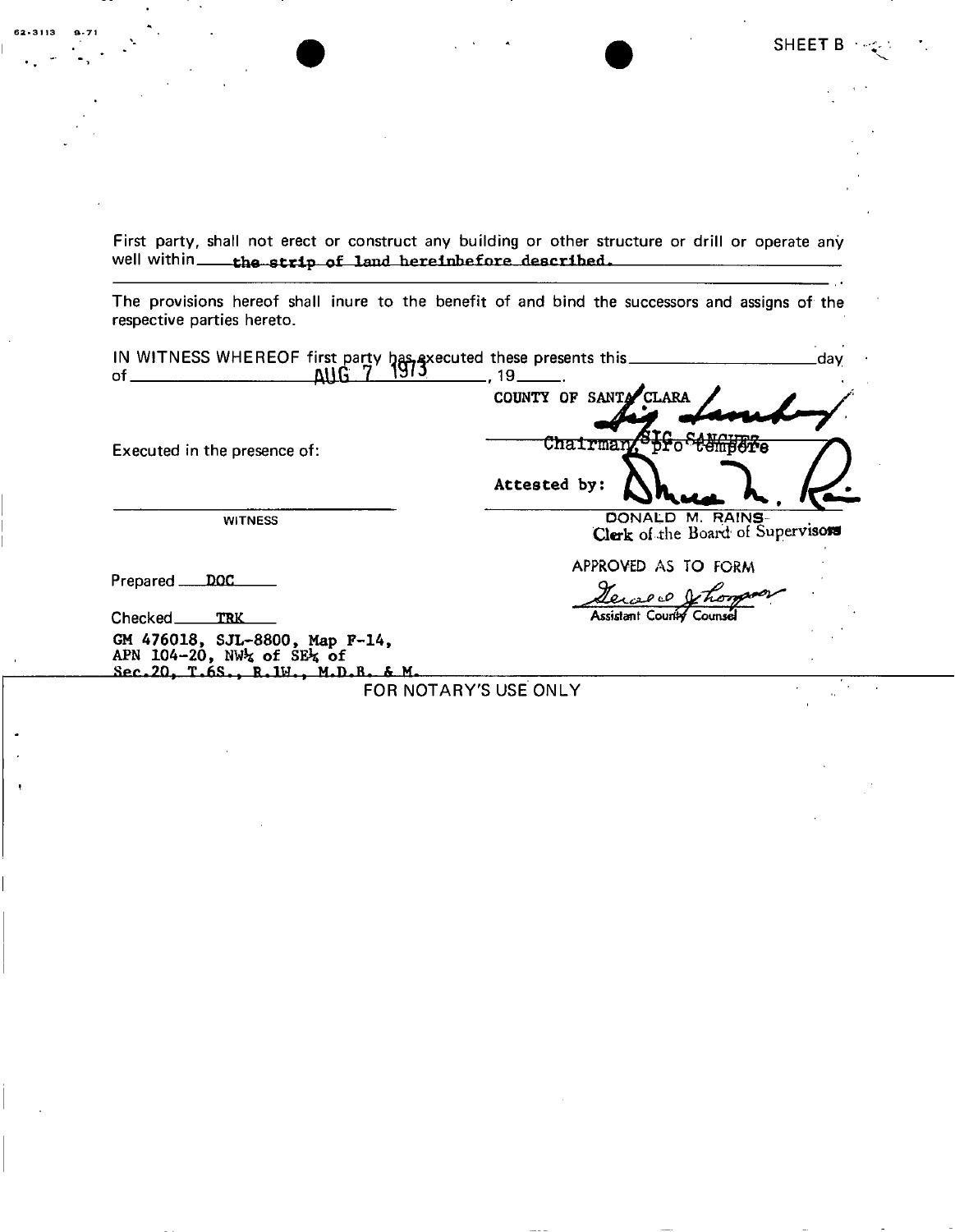First party, shall not erect or construct any building or other structure or drill or operate any well within the strip of land hereinbefore described.

 $\bullet$   $\bullet$   $\bullet$   $\bullet$   $\bullet$ 

**6a·3113 g.·71**

The provisions hereof shall inure to the benefit of and bind the successors and assigns of the respective parties hereto.

-------------------------------------------------------------------------,.

| IN WITNESS WHEREOF first party has executed these presents this $\frac{1}{19}$<br>$A \cup G$ . 7<br>of _____________        | _day<br>_. 19_                                                 |
|-----------------------------------------------------------------------------------------------------------------------------|----------------------------------------------------------------|
| Executed in the presence of:                                                                                                | COUNTY OF SANTA CLARA<br>Chairman "pro tempere<br>Attested by: |
| <b>WITNESS</b>                                                                                                              | DONALD M. RAINS-<br>Clerk of the Board of Supervisors          |
| Prepared DOC                                                                                                                | APPROVED AS TO FORM<br><u>Derase of hompoor</u>                |
| Checked TRK                                                                                                                 |                                                                |
| GM 476018, SJL-8800, Map F-14,<br>APN $104-20$ , NW <sub>2</sub> of SE <sub>2</sub> of<br>Sec. 20, T.6S., R.1W., M.D.B. & M |                                                                |
| FOR NOTARY'S USE ONLY                                                                                                       |                                                                |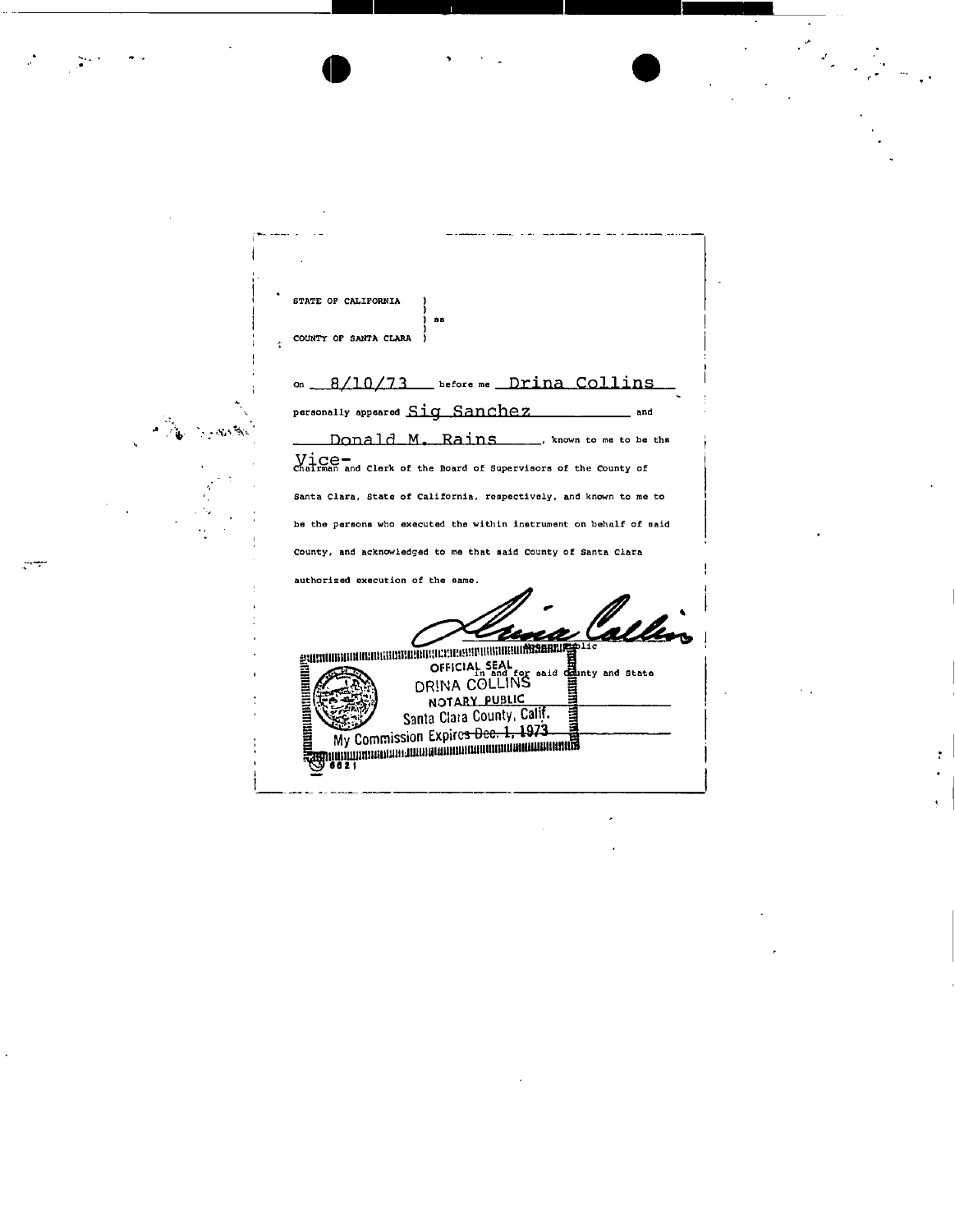| STATE OF CALIFORNIA<br>88<br>COUNTY OF SANTA CLARA                                                                                                                                                                                                                                                                                                                                                                                             |  |
|------------------------------------------------------------------------------------------------------------------------------------------------------------------------------------------------------------------------------------------------------------------------------------------------------------------------------------------------------------------------------------------------------------------------------------------------|--|
| before me Drina Collins<br>้ 1 O<br>73<br><b>On</b><br>personally appeared Sig Sanchez<br>and<br>Donald M. Rains<br>known to me to be that                                                                                                                                                                                                                                                                                                     |  |
| ViCe-<br>Chairman and Clerk of the Board of Supervisors of the County of<br>Santa Clara, State of California, respectively, and known to me to<br>be the persons who executed the within instrument on behalf of said                                                                                                                                                                                                                          |  |
| County, and acknowledged to me that said County of Santa Clara<br>authorized execution of the same.                                                                                                                                                                                                                                                                                                                                            |  |
| e di minimum in international composition de la contrata de la construcción de la construcción de la construcción de la construcción de la construcción de la construcción de la construcción de la construcción de la constru<br>OFFICIAL SEAL for said county and state<br>DRINA COLLINS<br>DRINA COLLINS<br>NOTARY PUBLIC<br>NATARY PUBLIC<br>NATARY PUBLIC<br>Santa Clara County, Calif.<br>My Commission Expire <del>s Dec. 1, 1973</del> |  |

 $\label{eq:2.1} \mathcal{L}(\mathcal{L}(\mathcal{L})) = \mathcal{L}(\mathcal{L}(\mathcal{L})) = \mathcal{L}(\mathcal{L}(\mathcal{L})) = \mathcal{L}(\mathcal{L}(\mathcal{L})) = \mathcal{L}(\mathcal{L}(\mathcal{L}))$ 

 $\begin{aligned} \mathbf{y} & = \mathbf{y} \cdot \mathbf{y} \end{aligned}$ 

 $\label{eq:2} \frac{1}{\sqrt{2}}\sum_{i=1}^n\frac{1}{\sqrt{2}}\sum_{j=1}^n\frac{1}{j!}\sum_{j=1}^n\frac{1}{j!}\sum_{j=1}^n\frac{1}{j!}\sum_{j=1}^n\frac{1}{j!}\sum_{j=1}^n\frac{1}{j!}\sum_{j=1}^n\frac{1}{j!}\sum_{j=1}^n\frac{1}{j!}\sum_{j=1}^n\frac{1}{j!}\sum_{j=1}^n\frac{1}{j!}\sum_{j=1}^n\frac{1}{j!}\sum_{j=1}^n\frac{1}{j!}\sum_{j=1}^$ 

 $\frac{1}{\sqrt{2}}$ 

 $\frac{1}{2}$ 

 $\frac{1}{2} \sum_{i=1}^{n} \frac{1}{i} \sum_{j=1}^{n} \frac{1}{j} \sum_{j=1}^{n} \frac{1}{j} \sum_{j=1}^{n} \frac{1}{j} \sum_{j=1}^{n} \frac{1}{j} \sum_{j=1}^{n} \frac{1}{j} \sum_{j=1}^{n} \frac{1}{j} \sum_{j=1}^{n} \frac{1}{j} \sum_{j=1}^{n} \frac{1}{j} \sum_{j=1}^{n} \frac{1}{j} \sum_{j=1}^{n} \frac{1}{j} \sum_{j=1}^{n} \frac{1}{j} \sum_{j=1}^{n$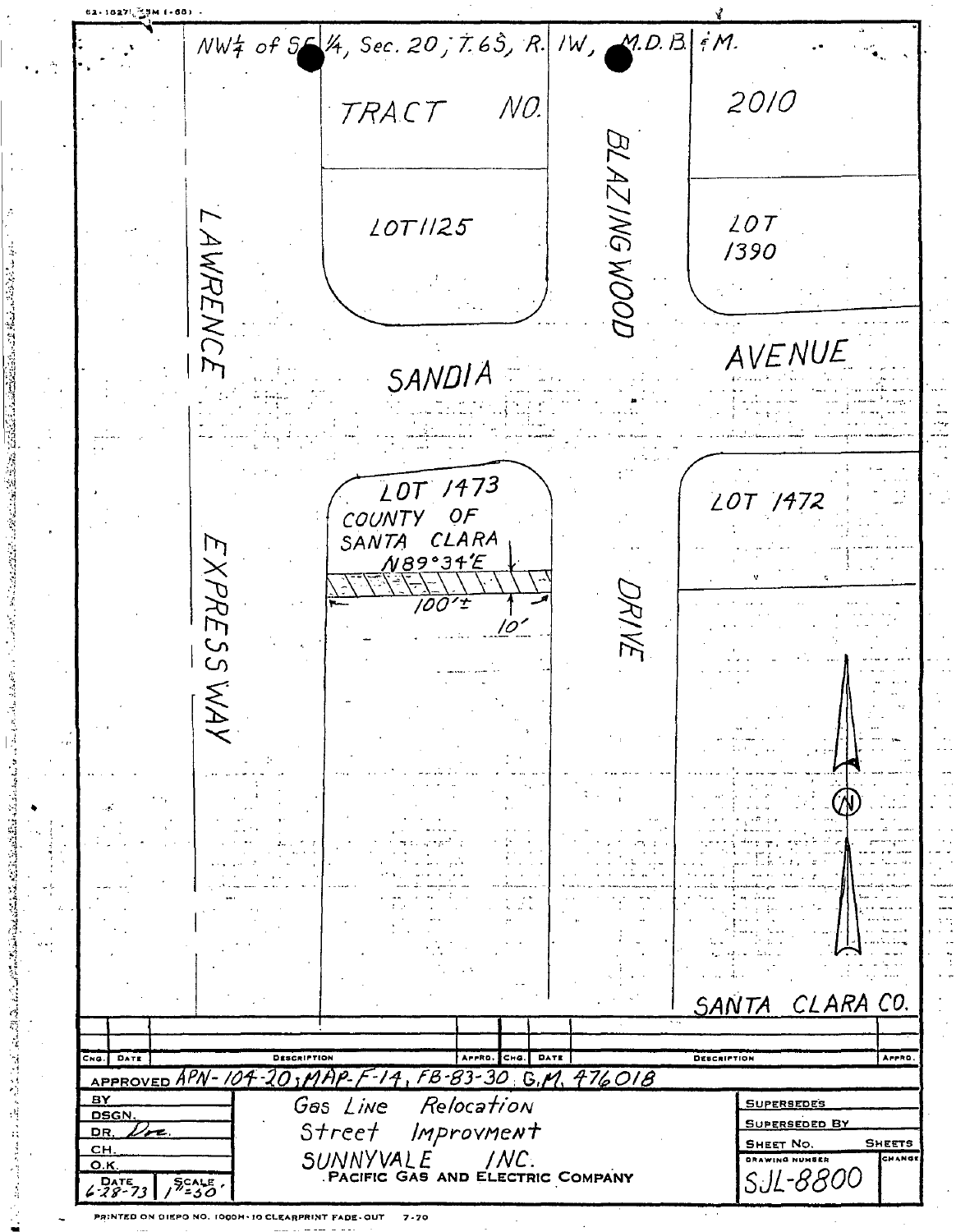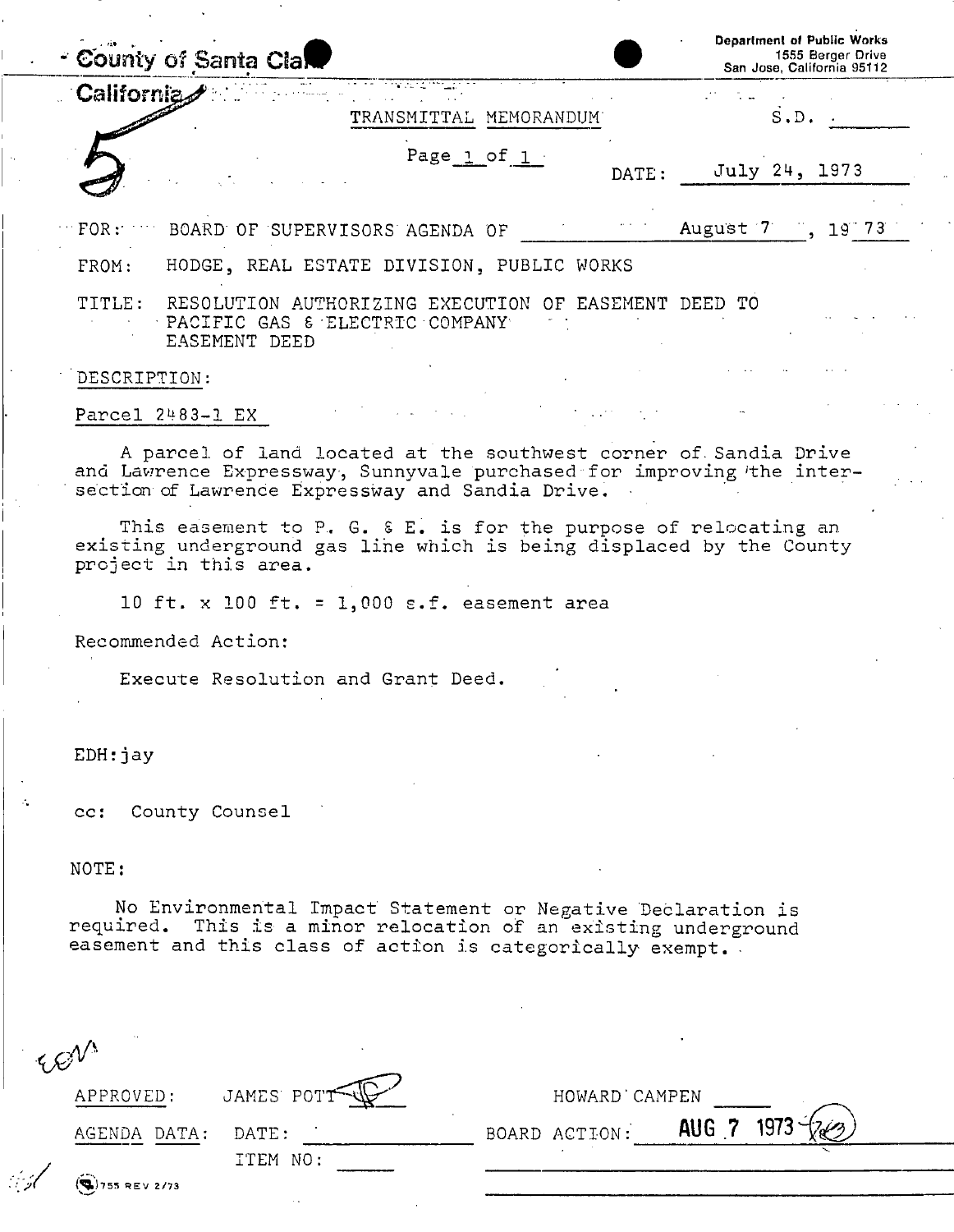| County of Santa Clal                                                                                                                                                                          | <b>Department of Public Works</b><br>1555 Berger Drive<br>San Jose, California 95112 |
|-----------------------------------------------------------------------------------------------------------------------------------------------------------------------------------------------|--------------------------------------------------------------------------------------|
| California                                                                                                                                                                                    |                                                                                      |
| TRANSMITTAL MEMORANDUM                                                                                                                                                                        | S.D.                                                                                 |
| Page 1 of 1                                                                                                                                                                                   | July 24, 1973<br>DATE:                                                               |
| FOR:<br>BOARD OF SUPERVISORS AGENDA OF                                                                                                                                                        | August 7, 1973                                                                       |
| HODGE, REAL ESTATE DIVISION, PUBLIC WORKS<br>FROM:                                                                                                                                            |                                                                                      |
| RESOLUTION AUTHORIZING EXECUTION OF EASEMENT DEED TO<br>TITLE:<br>PACIFIC GAS & ELECTRIC COMPANY<br>EASEMENT DEED                                                                             |                                                                                      |
| DESCRIPTION:                                                                                                                                                                                  |                                                                                      |
| Parcel 2483-1 EX                                                                                                                                                                              |                                                                                      |
| A parcel of land located at the southwest corner of Sandia Drive<br>and Lawrence Expressway, Sunnyvale purchased for improving the inter-<br>section of Lawrence Expressway and Sandia Drive. |                                                                                      |
| This easement to P. G. & E. is for the purpose of relocating an<br>existing underground gas line which is being displaced by the County<br>project in this area.                              |                                                                                      |
| 10 ft. x 100 ft. = 1,000 s.f. easement area                                                                                                                                                   |                                                                                      |
| Recommended Action:                                                                                                                                                                           |                                                                                      |
| Execute Resolution and Grant Deed.                                                                                                                                                            |                                                                                      |
|                                                                                                                                                                                               |                                                                                      |
| EDH: jay                                                                                                                                                                                      |                                                                                      |
|                                                                                                                                                                                               |                                                                                      |
| cc: County Counsel                                                                                                                                                                            |                                                                                      |
| NOTE:                                                                                                                                                                                         |                                                                                      |
|                                                                                                                                                                                               |                                                                                      |
| No Environmental Impact Statement or Negative Declaration is<br>required. This is a minor relocation of an existing underground<br>easement and this class of action is categorically exempt. |                                                                                      |
|                                                                                                                                                                                               |                                                                                      |
|                                                                                                                                                                                               |                                                                                      |
|                                                                                                                                                                                               |                                                                                      |
| JAMES PO!<br>APPROVED:                                                                                                                                                                        | HOWARD CAMPEN                                                                        |
| BOARD ACTION:<br>AGENDA DATA:<br>DATE:<br>TTEM NO.                                                                                                                                            | $AUG$ $7$<br>1973                                                                    |

 $\frac{1}{2}$  (1755 REV 2/73

 $\mathbf{L}$ 

 $\mathcal{L}$